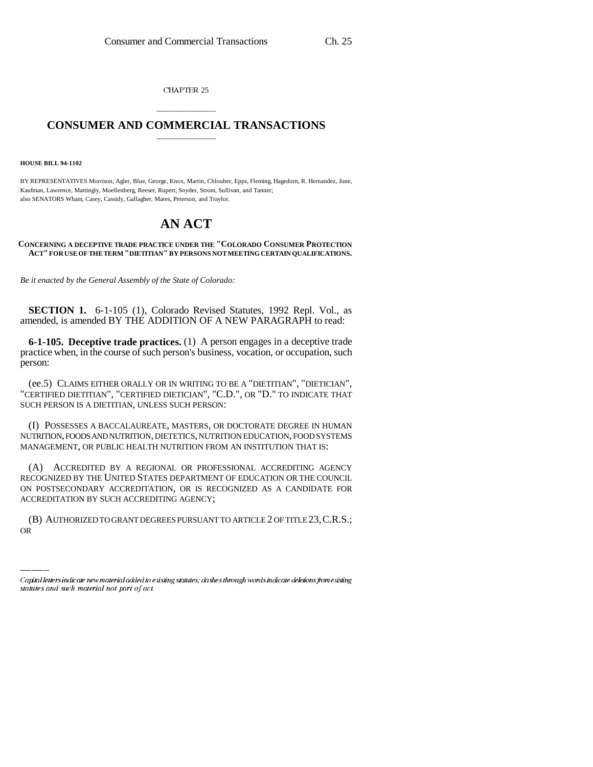CHAPTER 25

## \_\_\_\_\_\_\_\_\_\_\_\_\_\_\_ **CONSUMER AND COMMERCIAL TRANSACTIONS** \_\_\_\_\_\_\_\_\_\_\_\_\_\_\_

## **HOUSE BILL 94-1102**

BY REPRESENTATIVES Morrison, Agler, Blue, George, Knox, Martin, Chlouber, Epps, Fleming, Hagedorn, R. Hernandez, June, Kaufman, Lawrence, Mattingly, Moellenberg, Reeser, Rupert, Snyder, Strom, Sullivan, and Tanner; also SENATORS Wham, Casey, Cassidy, Gallagher, Mares, Peterson, and Traylor.

## **AN ACT**

## **CONCERNING A DECEPTIVE TRADE PRACTICE UNDER THE "COLORADO CONSUMER PROTECTION ACT" FOR USE OF THE TERM "DIETITIAN" BY PERSONS NOT MEETING CERTAIN QUALIFICATIONS.**

*Be it enacted by the General Assembly of the State of Colorado:*

**SECTION 1.** 6-1-105 (1), Colorado Revised Statutes, 1992 Repl. Vol., as amended, is amended BY THE ADDITION OF A NEW PARAGRAPH to read:

**6-1-105. Deceptive trade practices.** (1) A person engages in a deceptive trade practice when, in the course of such person's business, vocation, or occupation, such person:

(ee.5) CLAIMS EITHER ORALLY OR IN WRITING TO BE A "DIETITIAN", "DIETICIAN", "CERTIFIED DIETITIAN", "CERTIFIED DIETICIAN", "C.D.", OR "D." TO INDICATE THAT SUCH PERSON IS A DIETITIAN, UNLESS SUCH PERSON:

(I) POSSESSES A BACCALAUREATE, MASTERS, OR DOCTORATE DEGREE IN HUMAN NUTRITION, FOODS AND NUTRITION, DIETETICS, NUTRITION EDUCATION, FOOD SYSTEMS MANAGEMENT, OR PUBLIC HEALTH NUTRITION FROM AN INSTITUTION THAT IS:

ACCREDITATION BY SUCH ACCREDITING AGENCY; (A) ACCREDITED BY A REGIONAL OR PROFESSIONAL ACCREDITING AGENCY RECOGNIZED BY THE UNITED STATES DEPARTMENT OF EDUCATION OR THE COUNCIL ON POSTSECONDARY ACCREDITATION, OR IS RECOGNIZED AS A CANDIDATE FOR

(B) AUTHORIZED TO GRANT DEGREES PURSUANT TO ARTICLE 2 OF TITLE 23,C.R.S.; OR

Capital letters indicate new material added to existing statutes; dashes through words indicate deletions from existing statutes and such material not part of act.